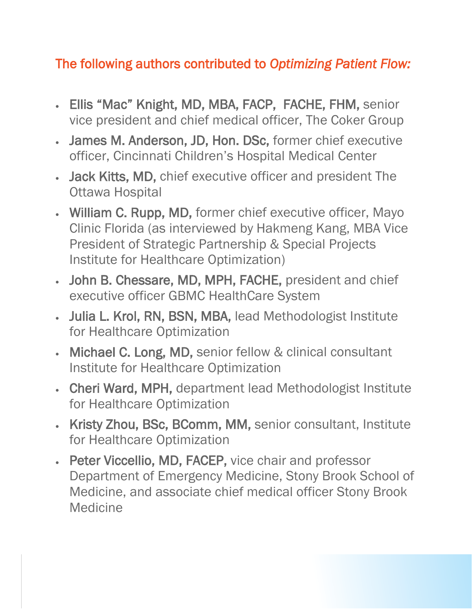## The following authors contributed to *Optimizing Patient Flow:*

- Ellis "Mac" Knight, MD, MBA, FACP, FACHE, FHM, senior vice president and chief medical officer, The Coker Group
- James M. Anderson, JD, Hon. DSc, former chief executive officer, Cincinnati Children's Hospital Medical Center
- Jack Kitts, MD, chief executive officer and president The Ottawa Hospital
- William C. Rupp, MD, former chief executive officer, Mayo Clinic Florida (as interviewed by Hakmeng Kang, MBA Vice President of Strategic Partnership & Special Projects Institute for Healthcare Optimization)
- John B. Chessare, MD, MPH, FACHE, president and chief executive officer GBMC HealthCare System
- Julia L. Krol, RN, BSN, MBA, lead Methodologist Institute for Healthcare Optimization
- Michael C. Long, MD, senior fellow & clinical consultant Institute for Healthcare Optimization
- Cheri Ward, MPH, department lead Methodologist Institute for Healthcare Optimization
- Kristy Zhou, BSc, BComm, MM, senior consultant, Institute for Healthcare Optimization
- Peter Viccellio, MD, FACEP, vice chair and professor Department of Emergency Medicine, Stony Brook School of Medicine, and associate chief medical officer Stony Brook Medicine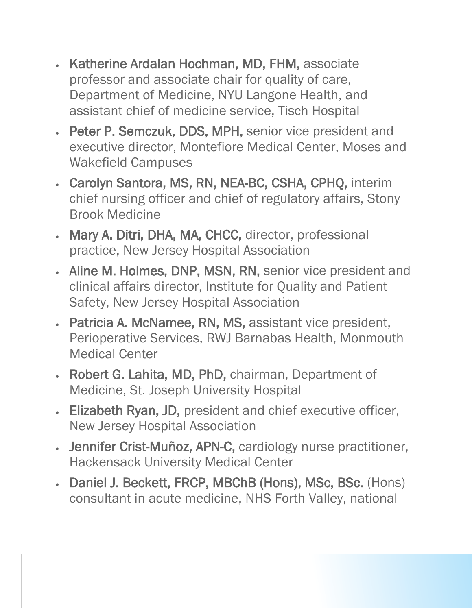- Katherine Ardalan Hochman, MD, FHM, associate professor and associate chair for quality of care, Department of Medicine, NYU Langone Health, and assistant chief of medicine service, Tisch Hospital
- Peter P. Semczuk, DDS, MPH, senior vice president and executive director, Montefiore Medical Center, Moses and Wakefield Campuses
- Carolyn Santora, MS, RN, NEA-BC, CSHA, CPHQ, interim chief nursing officer and chief of regulatory affairs, Stony Brook Medicine
- Mary A. Ditri, DHA, MA, CHCC, director, professional practice, New Jersey Hospital Association
- Aline M. Holmes, DNP, MSN, RN, senior vice president and clinical affairs director, Institute for Quality and Patient Safety, New Jersey Hospital Association
- Patricia A. McNamee, RN, MS, assistant vice president, Perioperative Services, RWJ Barnabas Health, Monmouth Medical Center
- Robert G. Lahita, MD, PhD, chairman, Department of Medicine, St. Joseph University Hospital
- Elizabeth Ryan, JD, president and chief executive officer, New Jersey Hospital Association
- Jennifer Crist-Muñoz, APN-C, cardiology nurse practitioner, Hackensack University Medical Center
- Daniel J. Beckett, FRCP, MBChB (Hons), MSc, BSc. (Hons) consultant in acute medicine, NHS Forth Valley, national